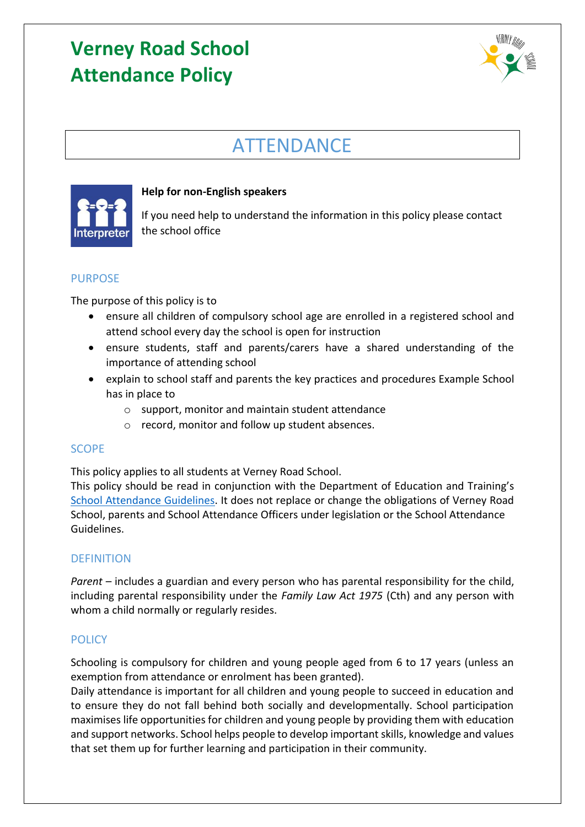

## ATTENDANCE



### **Help for non-English speakers**

If you need help to understand the information in this policy please contact the school office

## PURPOSE

The purpose of this policy is to

- ensure all children of compulsory school age are enrolled in a registered school and attend school every day the school is open for instruction
- ensure students, staff and parents/carers have a shared understanding of the importance of attending school
- explain to school staff and parents the key practices and procedures Example School has in place to
	- o support, monitor and maintain student attendance
	- o record, monitor and follow up student absences.

## SCOPE

This policy applies to all students at Verney Road School.

This policy should be read in conjunction with the Department of Education and Training's [School Attendance Guidelines.](https://www2.education.vic.gov.au/pal/attendance/guidance) It does not replace or change the obligations of Verney Road School, parents and School Attendance Officers under legislation or the School Attendance Guidelines.

### DEFINITION

*Parent* – includes a guardian and every person who has parental responsibility for the child, including parental responsibility under the *Family Law Act 1975* (Cth) and any person with whom a child normally or regularly resides.

## **POLICY**

Schooling is compulsory for children and young people aged from 6 to 17 years (unless an exemption from attendance or enrolment has been granted).

Daily attendance is important for all children and young people to succeed in education and to ensure they do not fall behind both socially and developmentally. School participation maximises life opportunities for children and young people by providing them with education and support networks. School helps people to develop important skills, knowledge and values that set them up for further learning and participation in their community.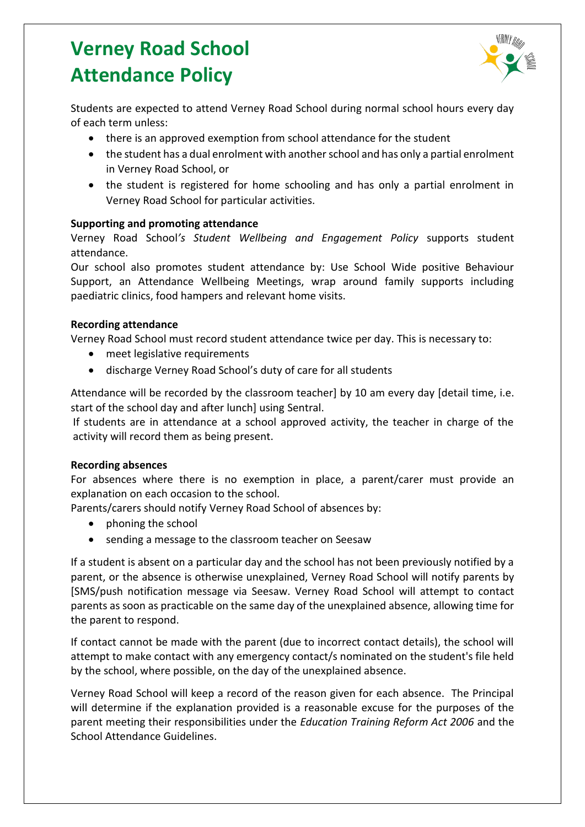

Students are expected to attend Verney Road School during normal school hours every day of each term unless:

- there is an approved exemption from school attendance for the student
- the student has a dual enrolment with another school and has only a partial enrolment in Verney Road School, or
- the student is registered for home schooling and has only a partial enrolment in Verney Road School for particular activities.

#### **Supporting and promoting attendance**

Verney Road School*'s Student Wellbeing and Engagement Policy* supports student attendance.

Our school also promotes student attendance by: Use School Wide positive Behaviour Support, an Attendance Wellbeing Meetings, wrap around family supports including paediatric clinics, food hampers and relevant home visits.

#### **Recording attendance**

Verney Road School must record student attendance twice per day. This is necessary to:

- meet legislative requirements
- discharge Verney Road School's duty of care for all students

Attendance will be recorded by the classroom teacher] by 10 am every day [detail time, i.e. start of the school day and after lunch] using Sentral.

If students are in attendance at a school approved activity, the teacher in charge of the activity will record them as being present.

#### **Recording absences**

For absences where there is no exemption in place, a parent/carer must provide an explanation on each occasion to the school.

Parents/carers should notify Verney Road School of absences by:

- phoning the school
- sending a message to the classroom teacher on Seesaw

If a student is absent on a particular day and the school has not been previously notified by a parent, or the absence is otherwise unexplained, Verney Road School will notify parents by [SMS/push notification message via Seesaw. Verney Road School will attempt to contact parents as soon as practicable on the same day of the unexplained absence, allowing time for the parent to respond.

If contact cannot be made with the parent (due to incorrect contact details), the school will attempt to make contact with any emergency contact/s nominated on the student's file held by the school, where possible, on the day of the unexplained absence.

Verney Road School will keep a record of the reason given for each absence. The Principal will determine if the explanation provided is a reasonable excuse for the purposes of the parent meeting their responsibilities under the *Education Training Reform Act 2006* and the School Attendance Guidelines.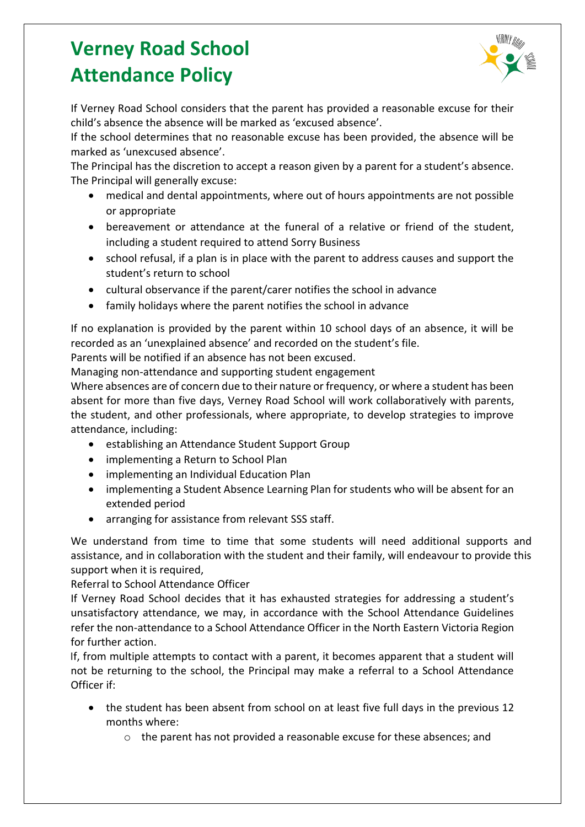

If Verney Road School considers that the parent has provided a reasonable excuse for their child's absence the absence will be marked as 'excused absence'.

If the school determines that no reasonable excuse has been provided, the absence will be marked as 'unexcused absence'.

The Principal has the discretion to accept a reason given by a parent for a student's absence. The Principal will generally excuse:

- medical and dental appointments, where out of hours appointments are not possible or appropriate
- bereavement or attendance at the funeral of a relative or friend of the student, including a student required to attend Sorry Business
- school refusal, if a plan is in place with the parent to address causes and support the student's return to school
- cultural observance if the parent/carer notifies the school in advance
- family holidays where the parent notifies the school in advance

If no explanation is provided by the parent within 10 school days of an absence, it will be recorded as an 'unexplained absence' and recorded on the student's file.

Parents will be notified if an absence has not been excused.

Managing non-attendance and supporting student engagement

Where absences are of concern due to their nature or frequency, or where a student has been absent for more than five days, Verney Road School will work collaboratively with parents, the student, and other professionals, where appropriate, to develop strategies to improve attendance, including:

- establishing an Attendance Student Support Group
- implementing a Return to School Plan
- implementing an Individual Education Plan
- implementing a Student Absence Learning Plan for students who will be absent for an extended period
- arranging for assistance from relevant SSS staff.

We understand from time to time that some students will need additional supports and assistance, and in collaboration with the student and their family, will endeavour to provide this support when it is required,

Referral to School Attendance Officer

If Verney Road School decides that it has exhausted strategies for addressing a student's unsatisfactory attendance, we may, in accordance with the School Attendance Guidelines refer the non-attendance to a School Attendance Officer in the North Eastern Victoria Region for further action.

If, from multiple attempts to contact with a parent, it becomes apparent that a student will not be returning to the school, the Principal may make a referral to a School Attendance Officer if:

- the student has been absent from school on at least five full days in the previous 12 months where:
	- $\circ$  the parent has not provided a reasonable excuse for these absences; and